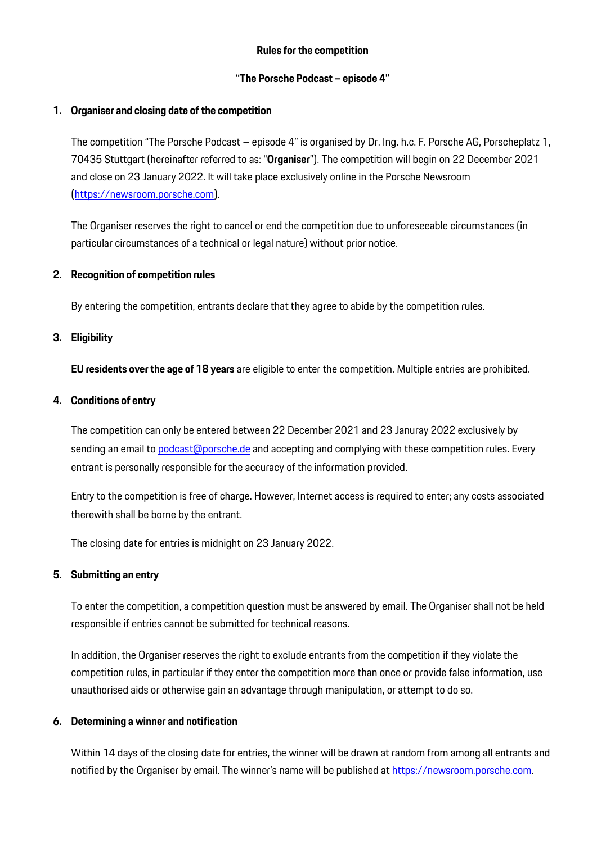# **Rules for the competition**

# **"The Porsche Podcast – episode 4"**

# **1. Organiser and closing date of the competition**

The competition "The Porsche Podcast – episode 4" is organised by Dr. Ing. h.c. F. Porsche AG, Porscheplatz 1, 70435 Stuttgart (hereinafter referred to as: "**Organiser**"). The competition will begin on 22 December 2021 and close on 23 January 2022. It will take place exclusively online in the Porsche Newsroom [\(https://newsroom.porsche.com\)](https://newsroom.porsche.com/).

The Organiser reserves the right to cancel or end the competition due to unforeseeable circumstances (in particular circumstances of a technical or legal nature) without prior notice.

## **2. Recognition of competition rules**

By entering the competition, entrants declare that they agree to abide by the competition rules.

# **3. Eligibility**

**EU residents over the age of 18 years** are eligible to enter the competition. Multiple entries are prohibited.

## **4. Conditions of entry**

The competition can only be entered between 22 December 2021 and 23 Januray 2022 exclusively by sending an email t[o podcast@porsche.de](mailto:podcast@porsche.de) and accepting and complying with these competition rules. Every entrant is personally responsible for the accuracy of the information provided.

Entry to the competition is free of charge. However, Internet access is required to enter; any costs associated therewith shall be borne by the entrant.

The closing date for entries is midnight on 23 January 2022.

#### **5. Submitting an entry**

To enter the competition, a competition question must be answered by email. The Organiser shall not be held responsible if entries cannot be submitted for technical reasons.

In addition, the Organiser reserves the right to exclude entrants from the competition if they violate the competition rules, in particular if they enter the competition more than once or provide false information, use unauthorised aids or otherwise gain an advantage through manipulation, or attempt to do so.

# **6. Determining a winner and notification**

Within 14 days of the closing date for entries, the winner will be drawn at random from among all entrants and notified by the Organiser by email. The winner's name will be published at [https://newsroom.porsche.com.](https://newsroom.porsche.com/)